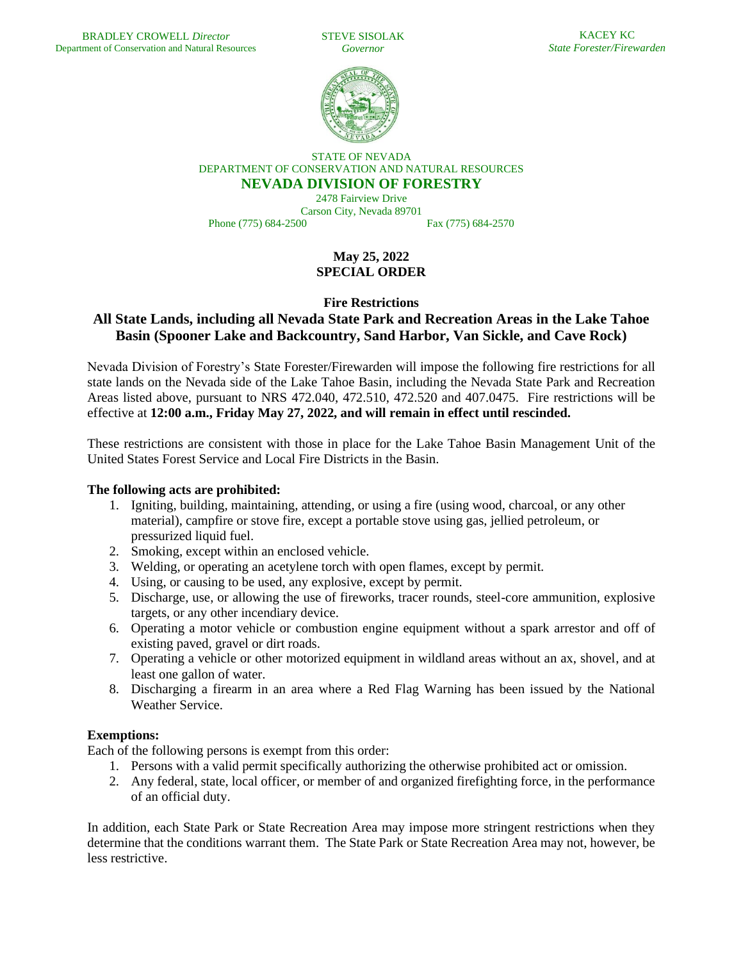STEVE SISOLAK *Governor*



STATE OF NEVADA DEPARTMENT OF CONSERVATION AND NATURAL RESOURCES **NEVADA DIVISION OF FORESTRY**

2478 Fairview Drive Carson City, Nevada 89701 Phone (775) 684-2500 Fax (775) 684-2570

**May 25, 2022 SPECIAL ORDER**

**Fire Restrictions**

# **All State Lands, including all Nevada State Park and Recreation Areas in the Lake Tahoe Basin (Spooner Lake and Backcountry, Sand Harbor, Van Sickle, and Cave Rock)**

Nevada Division of Forestry's State Forester/Firewarden will impose the following fire restrictions for all state lands on the Nevada side of the Lake Tahoe Basin, including the Nevada State Park and Recreation Areas listed above, pursuant to NRS 472.040, 472.510, 472.520 and 407.0475. Fire restrictions will be effective at **12:00 a.m., Friday May 27, 2022, and will remain in effect until rescinded.** 

These restrictions are consistent with those in place for the Lake Tahoe Basin Management Unit of the United States Forest Service and Local Fire Districts in the Basin.

## **The following acts are prohibited:**

- 1. Igniting, building, maintaining, attending, or using a fire (using wood, charcoal, or any other material), campfire or stove fire, except a portable stove using gas, jellied petroleum, or pressurized liquid fuel.
- 2. Smoking, except within an enclosed vehicle.
- 3. Welding, or operating an acetylene torch with open flames, except by permit.
- 4. Using, or causing to be used, any explosive, except by permit.
- 5. Discharge, use, or allowing the use of fireworks, tracer rounds, steel-core ammunition, explosive targets, or any other incendiary device.
- 6. Operating a motor vehicle or combustion engine equipment without a spark arrestor and off of existing paved, gravel or dirt roads.
- 7. Operating a vehicle or other motorized equipment in wildland areas without an ax, shovel, and at least one gallon of water.
- 8. Discharging a firearm in an area where a Red Flag Warning has been issued by the National Weather Service.

## **Exemptions:**

Each of the following persons is exempt from this order:

- 1. Persons with a valid permit specifically authorizing the otherwise prohibited act or omission.
- 2. Any federal, state, local officer, or member of and organized firefighting force, in the performance of an official duty.

In addition, each State Park or State Recreation Area may impose more stringent restrictions when they determine that the conditions warrant them. The State Park or State Recreation Area may not, however, be less restrictive.